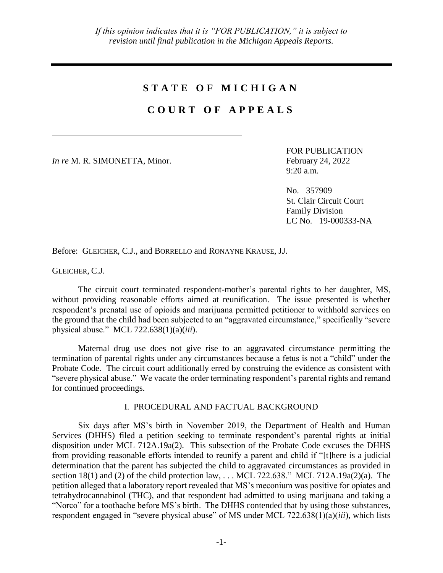# **S T A T E O F M I C H I G A N**

# **C O U R T O F A P P E A L S**

*In re* M. R. SIMONETTA, Minor. February 24, 2022

FOR PUBLICATION 9:20 a.m.

No. 357909 St. Clair Circuit Court Family Division LC No. 19-000333-NA

Before: GLEICHER, C.J., and BORRELLO and RONAYNE KRAUSE, JJ.

GLEICHER, C.J.

The circuit court terminated respondent-mother's parental rights to her daughter, MS, without providing reasonable efforts aimed at reunification. The issue presented is whether respondent's prenatal use of opioids and marijuana permitted petitioner to withhold services on the ground that the child had been subjected to an "aggravated circumstance," specifically "severe physical abuse." MCL 722.638(1)(a)(*iii*).

Maternal drug use does not give rise to an aggravated circumstance permitting the termination of parental rights under any circumstances because a fetus is not a "child" under the Probate Code. The circuit court additionally erred by construing the evidence as consistent with "severe physical abuse." We vacate the order terminating respondent's parental rights and remand for continued proceedings.

## I. PROCEDURAL AND FACTUAL BACKGROUND

Six days after MS's birth in November 2019, the Department of Health and Human Services (DHHS) filed a petition seeking to terminate respondent's parental rights at initial disposition under MCL 712A.19a(2). This subsection of the Probate Code excuses the DHHS from providing reasonable efforts intended to reunify a parent and child if "[t]here is a judicial determination that the parent has subjected the child to aggravated circumstances as provided in section 18(1) and (2) of the child protection law, ... MCL 722.638." MCL 712A.19a(2)(a). The petition alleged that a laboratory report revealed that MS's meconium was positive for opiates and tetrahydrocannabinol (THC), and that respondent had admitted to using marijuana and taking a "Norco" for a toothache before MS's birth. The DHHS contended that by using those substances, respondent engaged in "severe physical abuse" of MS under MCL 722.638(1)(a)(*iii*), which lists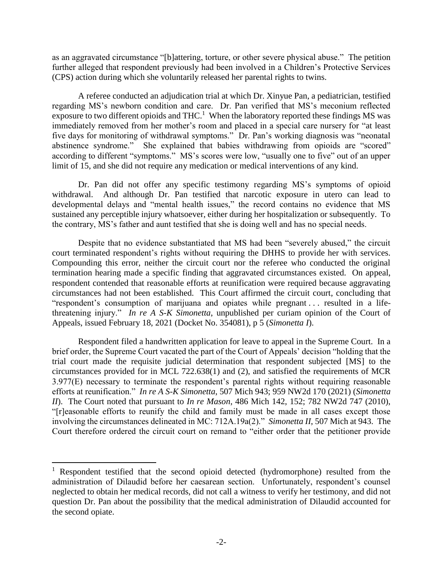as an aggravated circumstance "[b]attering, torture, or other severe physical abuse." The petition further alleged that respondent previously had been involved in a Children's Protective Services (CPS) action during which she voluntarily released her parental rights to twins.

A referee conducted an adjudication trial at which Dr. Xinyue Pan, a pediatrician, testified regarding MS's newborn condition and care. Dr. Pan verified that MS's meconium reflected exposure to two different opioids and THC.<sup>1</sup> When the laboratory reported these findings MS was immediately removed from her mother's room and placed in a special care nursery for "at least five days for monitoring of withdrawal symptoms." Dr. Pan's working diagnosis was "neonatal abstinence syndrome." She explained that babies withdrawing from opioids are "scored" according to different "symptoms." MS's scores were low, "usually one to five" out of an upper limit of 15, and she did not require any medication or medical interventions of any kind.

Dr. Pan did not offer any specific testimony regarding MS's symptoms of opioid withdrawal. And although Dr. Pan testified that narcotic exposure in utero can lead to developmental delays and "mental health issues," the record contains no evidence that MS sustained any perceptible injury whatsoever, either during her hospitalization or subsequently. To the contrary, MS's father and aunt testified that she is doing well and has no special needs.

Despite that no evidence substantiated that MS had been "severely abused," the circuit court terminated respondent's rights without requiring the DHHS to provide her with services. Compounding this error, neither the circuit court nor the referee who conducted the original termination hearing made a specific finding that aggravated circumstances existed. On appeal, respondent contended that reasonable efforts at reunification were required because aggravating circumstances had not been established. This Court affirmed the circuit court, concluding that "respondent's consumption of marijuana and opiates while pregnant . . . resulted in a lifethreatening injury." *In re A S-K Simonetta*, unpublished per curiam opinion of the Court of Appeals, issued February 18, 2021 (Docket No. 354081), p 5 (*Simonetta I*).

Respondent filed a handwritten application for leave to appeal in the Supreme Court. In a brief order, the Supreme Court vacated the part of the Court of Appeals' decision "holding that the trial court made the requisite judicial determination that respondent subjected [MS] to the circumstances provided for in MCL 722.638(1) and (2), and satisfied the requirements of MCR 3.977(E) necessary to terminate the respondent's parental rights without requiring reasonable efforts at reunification." *In re A S-K Simonetta*, 507 Mich 943; 959 NW2d 170 (2021) (*Simonetta II*). The Court noted that pursuant to *In re Mason*, 486 Mich 142, 152; 782 NW2d 747 (2010), "[r]easonable efforts to reunify the child and family must be made in all cases except those involving the circumstances delineated in MC: 712A.19a(2)." *Simonetta II*, 507 Mich at 943. The Court therefore ordered the circuit court on remand to "either order that the petitioner provide

 $\overline{a}$ 

<sup>&</sup>lt;sup>1</sup> Respondent testified that the second opioid detected (hydromorphone) resulted from the administration of Dilaudid before her caesarean section. Unfortunately, respondent's counsel neglected to obtain her medical records, did not call a witness to verify her testimony, and did not question Dr. Pan about the possibility that the medical administration of Dilaudid accounted for the second opiate.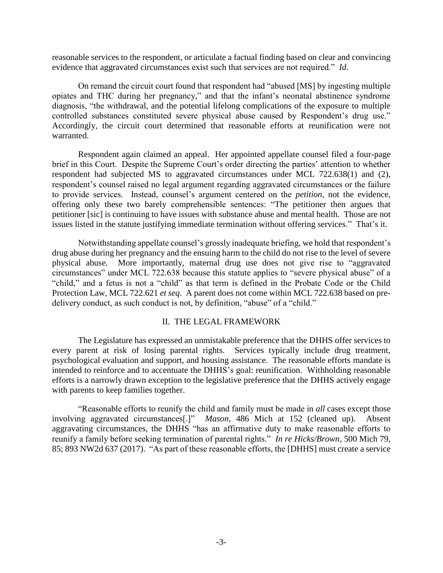reasonable services to the respondent, or articulate a factual finding based on clear and convincing evidence that aggravated circumstances exist such that services are not required." *Id*.

On remand the circuit court found that respondent had "abused [MS] by ingesting multiple opiates and THC during her pregnancy," and that the infant's neonatal abstinence syndrome diagnosis, "the withdrawal, and the potential lifelong complications of the exposure to multiple controlled substances constituted severe physical abuse caused by Respondent's drug use." Accordingly, the circuit court determined that reasonable efforts at reunification were not warranted.

Respondent again claimed an appeal. Her appointed appellate counsel filed a four-page brief in this Court. Despite the Supreme Court's order directing the parties' attention to whether respondent had subjected MS to aggravated circumstances under MCL 722.638(1) and (2), respondent's counsel raised no legal argument regarding aggravated circumstances or the failure to provide services. Instead, counsel's argument centered on the *petition*, not the evidence, offering only these two barely comprehensible sentences: "The petitioner then argues that petitioner [sic] is continuing to have issues with substance abuse and mental health. Those are not issues listed in the statute justifying immediate termination without offering services." That's it.

Notwithstanding appellate counsel's grossly inadequate briefing, we hold that respondent's drug abuse during her pregnancy and the ensuing harm to the child do not rise to the level of severe physical abuse. More importantly, maternal drug use does not give rise to "aggravated circumstances" under MCL 722.638 because this statute applies to "severe physical abuse" of a "child," and a fetus is not a "child" as that term is defined in the Probate Code or the Child Protection Law, MCL 722.621 *et seq*. A parent does not come within MCL 722.638 based on predelivery conduct, as such conduct is not, by definition, "abuse" of a "child."

#### II. THE LEGAL FRAMEWORK

The Legislature has expressed an unmistakable preference that the DHHS offer services to every parent at risk of losing parental rights. Services typically include drug treatment, psychological evaluation and support, and housing assistance. The reasonable efforts mandate is intended to reinforce and to accentuate the DHHS's goal: reunification. Withholding reasonable efforts is a narrowly drawn exception to the legislative preference that the DHHS actively engage with parents to keep families together.

"Reasonable efforts to reunify the child and family must be made in *all* cases except those involving aggravated circumstances[.]" *Mason*, 486 Mich at 152 (cleaned up). Absent aggravating circumstances, the DHHS "has an affirmative duty to make reasonable efforts to reunify a family before seeking termination of parental rights." *In re Hicks/Brown*, 500 Mich 79, 85; 893 NW2d 637 (2017). "As part of these reasonable efforts, the [DHHS] must create a service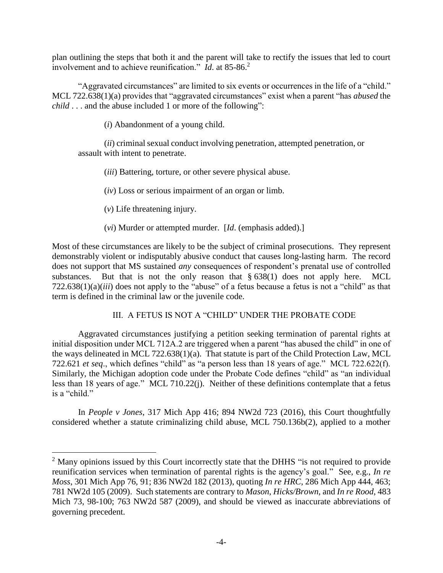plan outlining the steps that both it and the parent will take to rectify the issues that led to court involvement and to achieve reunification." *Id.* at 85-86.<sup>2</sup>

"Aggravated circumstances" are limited to six events or occurrences in the life of a "child." MCL 722.638(1)(a) provides that "aggravated circumstances" exist when a parent "has *abused* the *child* . . . and the abuse included 1 or more of the following":

(*i*) Abandonment of a young child.

(*ii*) criminal sexual conduct involving penetration, attempted penetration, or assault with intent to penetrate.

(*iii*) Battering, torture, or other severe physical abuse.

(*iv*) Loss or serious impairment of an organ or limb.

(*v*) Life threatening injury.

 $\overline{a}$ 

(*vi*) Murder or attempted murder. [*Id*. (emphasis added).]

Most of these circumstances are likely to be the subject of criminal prosecutions. They represent demonstrably violent or indisputably abusive conduct that causes long-lasting harm. The record does not support that MS sustained *any* consequences of respondent's prenatal use of controlled substances. But that is not the only reason that  $\S 638(1)$  does not apply here. MCL 722.638(1)(a)(*iii*) does not apply to the "abuse" of a fetus because a fetus is not a "child" as that term is defined in the criminal law or the juvenile code.

## III. A FETUS IS NOT A "CHILD" UNDER THE PROBATE CODE

Aggravated circumstances justifying a petition seeking termination of parental rights at initial disposition under MCL 712A.2 are triggered when a parent "has abused the child" in one of the ways delineated in MCL 722.638(1)(a). That statute is part of the Child Protection Law, MCL 722.621 *et seq*., which defines "child" as "a person less than 18 years of age." MCL 722.622(f). Similarly, the Michigan adoption code under the Probate Code defines "child" as "an individual less than 18 years of age." MCL 710.22(j). Neither of these definitions contemplate that a fetus is a "child."

In *People v Jones*, 317 Mich App 416; 894 NW2d 723 (2016), this Court thoughtfully considered whether a statute criminalizing child abuse, MCL 750.136b(2), applied to a mother

 $2$  Many opinions issued by this Court incorrectly state that the DHHS "is not required to provide reunification services when termination of parental rights is the agency's goal." See, e.g., *In re Moss*, 301 Mich App 76, 91; 836 NW2d 182 (2013), quoting *In re HRC*, 286 Mich App 444, 463; 781 NW2d 105 (2009). Such statements are contrary to *Mason*, *Hicks/Brown*, and *In re Rood*, 483 Mich 73, 98-100; 763 NW2d 587 (2009), and should be viewed as inaccurate abbreviations of governing precedent.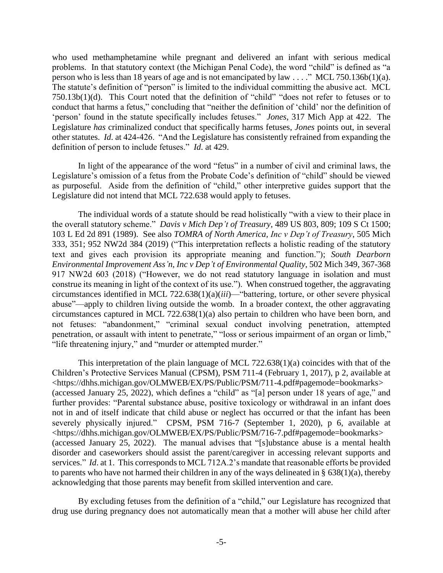who used methamphetamine while pregnant and delivered an infant with serious medical problems. In that statutory context (the Michigan Penal Code), the word "child" is defined as "a person who is less than 18 years of age and is not emancipated by law . . . ." MCL 750.136b(1)(a). The statute's definition of "person" is limited to the individual committing the abusive act. MCL 750.13b(1)(d). This Court noted that the definition of "child" "does not refer to fetuses or to conduct that harms a fetus," concluding that "neither the definition of 'child' nor the definition of 'person' found in the statute specifically includes fetuses." *Jones*, 317 Mich App at 422. The Legislature *has* criminalized conduct that specifically harms fetuses, *Jones* points out, in several other statutes. *Id*. at 424-426. "And the Legislature has consistently refrained from expanding the definition of person to include fetuses." *Id*. at 429.

In light of the appearance of the word "fetus" in a number of civil and criminal laws, the Legislature's omission of a fetus from the Probate Code's definition of "child" should be viewed as purposeful. Aside from the definition of "child," other interpretive guides support that the Legislature did not intend that MCL 722.638 would apply to fetuses.

The individual words of a statute should be read holistically "with a view to their place in the overall statutory scheme." *Davis v Mich Dep't of Treasury*, 489 US 803, 809; 109 S Ct 1500; 103 L Ed 2d 891 (1989). See also *TOMRA of North America, Inc v Dep't of Treasury*, 505 Mich 333, 351; 952 NW2d 384 (2019) ("This interpretation reflects a holistic reading of the statutory text and gives each provision its appropriate meaning and function."); *South Dearborn Environmental Improvement Ass'n, Inc v Dep't of Environmental Quality*, 502 Mich 349, 367-368 917 NW2d 603 (2018) ("However, we do not read statutory language in isolation and must construe its meaning in light of the context of its use."). When construed together, the aggravating circumstances identified in MCL 722.638(1)(a)(*iii*)—"battering, torture, or other severe physical abuse"—apply to children living outside the womb. In a broader context, the other aggravating circumstances captured in MCL 722.638(1)(a) also pertain to children who have been born, and not fetuses: "abandonment," "criminal sexual conduct involving penetration, attempted penetration, or assault with intent to penetrate," "loss or serious impairment of an organ or limb," "life threatening injury," and "murder or attempted murder."

This interpretation of the plain language of MCL 722.638(1)(a) coincides with that of the Children's Protective Services Manual (CPSM), PSM 711-4 (February 1, 2017), p 2, available at <https://dhhs.michigan.gov/OLMWEB/EX/PS/Public/PSM/711-4.pdf#pagemode=bookmarks> (accessed January 25, 2022), which defines a "child" as "[a] person under 18 years of age," and further provides: "Parental substance abuse, positive toxicology or withdrawal in an infant does not in and of itself indicate that child abuse or neglect has occurred or that the infant has been severely physically injured." CPSM, PSM 716-7 (September 1, 2020), p 6, available at <https://dhhs.michigan.gov/OLMWEB/EX/PS/Public/PSM/716-7.pdf#pagemode=bookmarks> (accessed January 25, 2022). The manual advises that "[s]ubstance abuse is a mental health disorder and caseworkers should assist the parent/caregiver in accessing relevant supports and services." *Id.* at 1. This corresponds to MCL 712A.2's mandate that reasonable efforts be provided to parents who have not harmed their children in any of the ways delineated in  $\S$  638(1)(a), thereby acknowledging that those parents may benefit from skilled intervention and care.

By excluding fetuses from the definition of a "child," our Legislature has recognized that drug use during pregnancy does not automatically mean that a mother will abuse her child after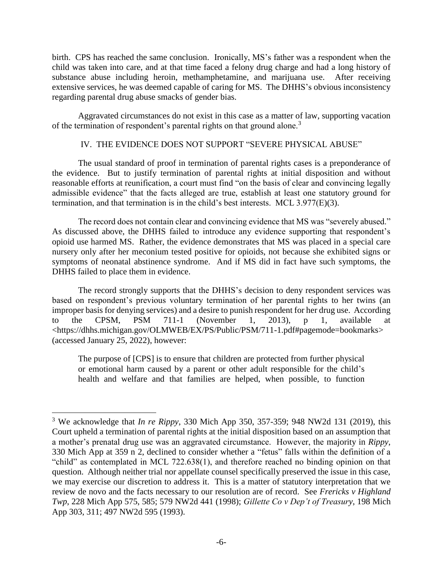birth. CPS has reached the same conclusion. Ironically, MS's father was a respondent when the child was taken into care, and at that time faced a felony drug charge and had a long history of substance abuse including heroin, methamphetamine, and marijuana use. After receiving extensive services, he was deemed capable of caring for MS. The DHHS's obvious inconsistency regarding parental drug abuse smacks of gender bias.

Aggravated circumstances do not exist in this case as a matter of law, supporting vacation of the termination of respondent's parental rights on that ground alone.<sup>3</sup>

### IV. THE EVIDENCE DOES NOT SUPPORT "SEVERE PHYSICAL ABUSE"

The usual standard of proof in termination of parental rights cases is a preponderance of the evidence. But to justify termination of parental rights at initial disposition and without reasonable efforts at reunification, a court must find "on the basis of clear and convincing legally admissible evidence" that the facts alleged are true, establish at least one statutory ground for termination, and that termination is in the child's best interests. MCL 3.977(E)(3).

The record does not contain clear and convincing evidence that MS was "severely abused." As discussed above, the DHHS failed to introduce any evidence supporting that respondent's opioid use harmed MS. Rather, the evidence demonstrates that MS was placed in a special care nursery only after her meconium tested positive for opioids, not because she exhibited signs or symptoms of neonatal abstinence syndrome. And if MS did in fact have such symptoms, the DHHS failed to place them in evidence.

The record strongly supports that the DHHS's decision to deny respondent services was based on respondent's previous voluntary termination of her parental rights to her twins (an improper basis for denying services) and a desire to punish respondent for her drug use. According to the CPSM, PSM 711-1 (November 1, 2013), p 1, available at <https://dhhs.michigan.gov/OLMWEB/EX/PS/Public/PSM/711-1.pdf#pagemode=bookmarks> (accessed January 25, 2022), however:

The purpose of [CPS] is to ensure that children are protected from further physical or emotional harm caused by a parent or other adult responsible for the child's health and welfare and that families are helped, when possible, to function

 $\overline{a}$ 

<sup>3</sup> We acknowledge that *In re Rippy*, 330 Mich App 350, 357-359; 948 NW2d 131 (2019), this Court upheld a termination of parental rights at the initial disposition based on an assumption that a mother's prenatal drug use was an aggravated circumstance. However, the majority in *Rippy*, 330 Mich App at 359 n 2, declined to consider whether a "fetus" falls within the definition of a "child" as contemplated in MCL 722.638(1), and therefore reached no binding opinion on that question. Although neither trial nor appellate counsel specifically preserved the issue in this case, we may exercise our discretion to address it. This is a matter of statutory interpretation that we review de novo and the facts necessary to our resolution are of record. See *Frericks v Highland Twp*, 228 Mich App 575, 585; 579 NW2d 441 (1998); *Gillette Co v Dep't of Treasury*, 198 Mich App 303, 311; 497 NW2d 595 (1993).